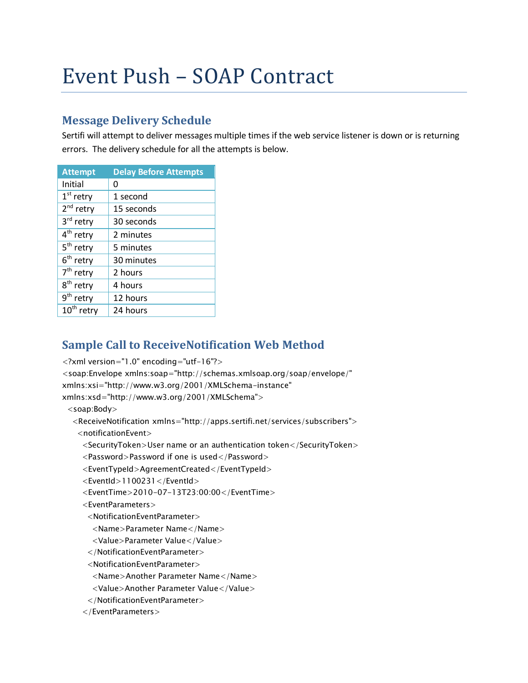# Event Push – SOAP Contract

## **Message Delivery Schedule**

Sertifi will attempt to deliver messages multiple times if the web service listener is down or is returning errors. The delivery schedule for all the attempts is below.

| <b>Attempt</b>         | <b>Delay Before Attempts</b> |  |
|------------------------|------------------------------|--|
| Initial                | Ω                            |  |
| $1st$ retry            | 1 second                     |  |
| 2 <sup>nd</sup> retry  | 15 seconds                   |  |
| 3rd retry              | 30 seconds                   |  |
| 4 <sup>th</sup> retry  | 2 minutes                    |  |
| 5 <sup>th</sup> retry  | 5 minutes                    |  |
| 6 <sup>th</sup> retry  | 30 minutes                   |  |
| 7 <sup>th</sup> retry  | 2 hours                      |  |
| 8 <sup>th</sup> retry  | 4 hours                      |  |
| 9 <sup>th</sup> retry  | 12 hours                     |  |
| 10 <sup>th</sup> retry | 24 hours                     |  |

# **Sample Call to ReceiveNotification Web Method**

<?xml version="1.0" encoding="utf-16"?>

<soap:Envelope xmlns:soap="http://schemas.xmlsoap.org/soap/envelope/"

xmlns:xsi="http://www.w3.org/2001/XMLSchema-instance"

xmlns:xsd="http://www.w3.org/2001/XMLSchema">

<soap:Body>

<ReceiveNotification xmlns="http://apps.sertifi.net/services/subscribers">

<notificationEvent>

<SecurityToken>User name or an authentication token</SecurityToken>

<Password>Password if one is used</Password>

<EventTypeId>AgreementCreated</EventTypeId>

<EventId>1100231</EventId>

```
 <EventTime>2010-07-13T23:00:00</EventTime>
```
<EventParameters>

<NotificationEventParameter>

<Name>Parameter Name</Name>

<Value>Parameter Value</Value>

</NotificationEventParameter>

<NotificationEventParameter>

<Name>Another Parameter Name</Name>

<Value>Another Parameter Value</Value>

</NotificationEventParameter>

</EventParameters>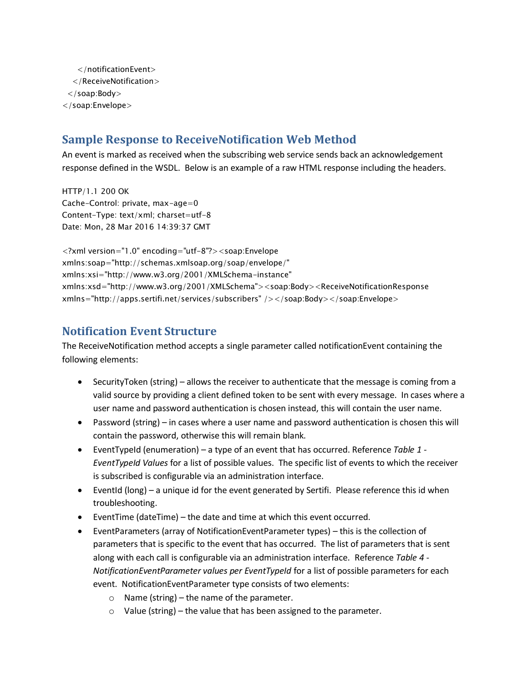</notificationEvent> </ReceiveNotification> </soap:Body> </soap:Envelope>

#### **Sample Response to ReceiveNotification Web Method**

An event is marked as received when the subscribing web service sends back an acknowledgement response defined in the WSDL. Below is an example of a raw HTML response including the headers.

HTTP/1.1 200 OK Cache-Control: private, max-age=0 Content-Type: text/xml; charset=utf-8 Date: Mon, 28 Mar 2016 14:39:37 GMT

<?xml version="1.0" encoding="utf-8"?><soap:Envelope xmlns:soap="http://schemas.xmlsoap.org/soap/envelope/" xmlns:xsi="http://www.w3.org/2001/XMLSchema-instance" xmlns:xsd="http://www.w3.org/2001/XMLSchema"><soap:Body><ReceiveNotificationResponse xmlns="http://apps.sertifi.net/services/subscribers" /></soap:Body></soap:Envelope>

#### **Notification Event Structure**

The ReceiveNotification method accepts a single parameter called notificationEvent containing the following elements:

- SecurityToken (string) allows the receiver to authenticate that the message is coming from a valid source by providing a client defined token to be sent with every message. In cases where a user name and password authentication is chosen instead, this will contain the user name.
- Password (string) in cases where a user name and password authentication is chosen this will contain the password, otherwise this will remain blank.
- EventTypeId (enumeration) a type of an event that has occurred. Reference *[Table 1](#page-2-0) - [EventTypeId Values](#page-2-0)* for a list of possible values. The specific list of events to which the receiver is subscribed is configurable via an administration interface.
- EventId (long) a unique id for the event generated by Sertifi. Please reference this id when troubleshooting.
- EventTime (dateTime) the date and time at which this event occurred.
- EventParameters (array of NotificationEventParameter types) this is the collection of parameters that is specific to the event that has occurred. The list of parameters that is sent along with each call is configurable via an administration interface. Reference *[Table 4](#page-7-0) - [NotificationEventParameter values per EventTypeId](#page-7-0)* for a list of possible parameters for each event. NotificationEventParameter type consists of two elements:
	- o Name (string) the name of the parameter.
	- $\circ$  Value (string) the value that has been assigned to the parameter.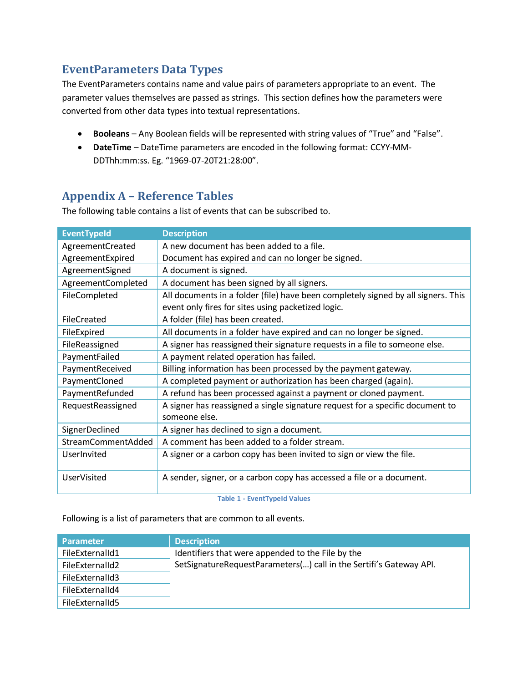#### **EventParameters Data Types**

The EventParameters contains name and value pairs of parameters appropriate to an event. The parameter values themselves are passed as strings. This section defines how the parameters were converted from other data types into textual representations.

- **Booleans** Any Boolean fields will be represented with string values of "True" and "False".
- **DateTime**  DateTime parameters are encoded in the following format: CCYY-MM-DDThh:mm:ss. Eg. "1969-07-20T21:28:00".

## **Appendix A – Reference Tables**

The following table contains a list of events that can be subscribed to.

| <b>EventTypeId</b> | <b>Description</b>                                                                                                                      |  |
|--------------------|-----------------------------------------------------------------------------------------------------------------------------------------|--|
| AgreementCreated   | A new document has been added to a file.                                                                                                |  |
| AgreementExpired   | Document has expired and can no longer be signed.                                                                                       |  |
| AgreementSigned    | A document is signed.                                                                                                                   |  |
| AgreementCompleted | A document has been signed by all signers.                                                                                              |  |
| FileCompleted      | All documents in a folder (file) have been completely signed by all signers. This<br>event only fires for sites using packetized logic. |  |
| FileCreated        | A folder (file) has been created.                                                                                                       |  |
| FileExpired        | All documents in a folder have expired and can no longer be signed.                                                                     |  |
| FileReassigned     | A signer has reassigned their signature requests in a file to someone else.                                                             |  |
| PaymentFailed      | A payment related operation has failed.                                                                                                 |  |
| PaymentReceived    | Billing information has been processed by the payment gateway.                                                                          |  |
| PaymentCloned      | A completed payment or authorization has been charged (again).                                                                          |  |
| PaymentRefunded    | A refund has been processed against a payment or cloned payment.                                                                        |  |
| RequestReassigned  | A signer has reassigned a single signature request for a specific document to<br>someone else.                                          |  |
| SignerDeclined     | A signer has declined to sign a document.                                                                                               |  |
| StreamCommentAdded | A comment has been added to a folder stream.                                                                                            |  |
| UserInvited        | A signer or a carbon copy has been invited to sign or view the file.                                                                    |  |
| <b>UserVisited</b> | A sender, signer, or a carbon copy has accessed a file or a document.                                                                   |  |

**Table 1 - EventTypeId Values**

<span id="page-2-0"></span>Following is a list of parameters that are common to all events.

| <b>Parameter</b> | <b>Description</b>                                                 |
|------------------|--------------------------------------------------------------------|
| FileExternalId1  | Identifiers that were appended to the File by the                  |
| FileExternalId2  | SetSignatureRequestParameters() call in the Sertifi's Gateway API. |
| FileExternalId3  |                                                                    |
| FileExternalId4  |                                                                    |
| FileExternalId5  |                                                                    |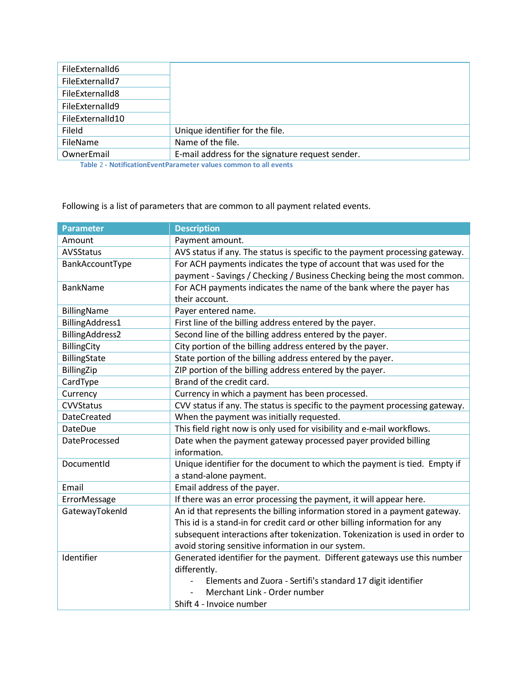| FileExternalId6  |                                                  |
|------------------|--------------------------------------------------|
| FileExternalId7  |                                                  |
| FileExternalId8  |                                                  |
| FileExternalId9  |                                                  |
| FileExternalId10 |                                                  |
| FileId           | Unique identifier for the file.                  |
| FileName         | Name of the file.                                |
| OwnerEmail       | E-mail address for the signature request sender. |

 **Table** 2 **- NotificationEventParameter values common to all events**

Following is a list of parameters that are common to all payment related events.

| <b>Parameter</b>   | <b>Description</b>                                                                                  |  |  |
|--------------------|-----------------------------------------------------------------------------------------------------|--|--|
| Amount             | Payment amount.                                                                                     |  |  |
| <b>AVSStatus</b>   | AVS status if any. The status is specific to the payment processing gateway.                        |  |  |
| BankAccountType    | For ACH payments indicates the type of account that was used for the                                |  |  |
|                    | payment - Savings / Checking / Business Checking being the most common.                             |  |  |
| <b>BankName</b>    | For ACH payments indicates the name of the bank where the payer has<br>their account.               |  |  |
| <b>BillingName</b> | Payer entered name.                                                                                 |  |  |
| BillingAddress1    | First line of the billing address entered by the payer.                                             |  |  |
| BillingAddress2    | Second line of the billing address entered by the payer.                                            |  |  |
| <b>BillingCity</b> | City portion of the billing address entered by the payer.                                           |  |  |
| BillingState       | State portion of the billing address entered by the payer.                                          |  |  |
| BillingZip         | ZIP portion of the billing address entered by the payer.                                            |  |  |
| CardType           | Brand of the credit card.                                                                           |  |  |
| Currency           | Currency in which a payment has been processed.                                                     |  |  |
| <b>CVVStatus</b>   | CVV status if any. The status is specific to the payment processing gateway.                        |  |  |
| <b>DateCreated</b> | When the payment was initially requested.                                                           |  |  |
| <b>DateDue</b>     | This field right now is only used for visibility and e-mail workflows.                              |  |  |
| DateProcessed      | Date when the payment gateway processed payer provided billing<br>information.                      |  |  |
| DocumentId         | Unique identifier for the document to which the payment is tied. Empty if<br>a stand-alone payment. |  |  |
| Email              | Email address of the payer.                                                                         |  |  |
| ErrorMessage       | If there was an error processing the payment, it will appear here.                                  |  |  |
| GatewayTokenId     | An id that represents the billing information stored in a payment gateway.                          |  |  |
|                    | This id is a stand-in for credit card or other billing information for any                          |  |  |
|                    | subsequent interactions after tokenization. Tokenization is used in order to                        |  |  |
|                    | avoid storing sensitive information in our system.                                                  |  |  |
| Identifier         | Generated identifier for the payment. Different gateways use this number                            |  |  |
|                    | differently.                                                                                        |  |  |
|                    | Elements and Zuora - Sertifi's standard 17 digit identifier                                         |  |  |
|                    | Merchant Link - Order number                                                                        |  |  |
|                    | Shift 4 - Invoice number                                                                            |  |  |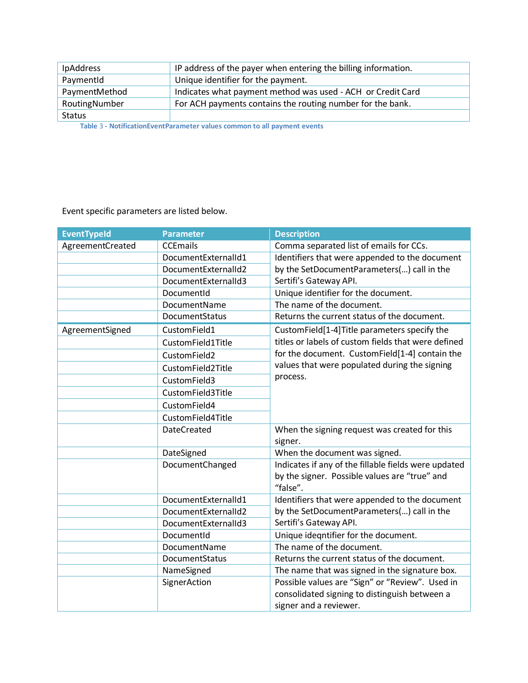| <b>IpAddress</b>                                                                     | IP address of the payer when entering the billing information. |  |
|--------------------------------------------------------------------------------------|----------------------------------------------------------------|--|
| PaymentId                                                                            | Unique identifier for the payment.                             |  |
| PaymentMethod                                                                        | Indicates what payment method was used - ACH or Credit Card    |  |
| RoutingNumber                                                                        | For ACH payments contains the routing number for the bank.     |  |
| Status                                                                               |                                                                |  |
| Table 0 - Marificarias Francisco escalado de la candidad de allegada que a considera |                                                                |  |

 **Table** 3 **- NotificationEventParameter values common to all payment events**

Event specific parameters are listed below.

i.

| <b>EventTypeId</b> | <b>Parameter</b>    | <b>Description</b>                                   |
|--------------------|---------------------|------------------------------------------------------|
| AgreementCreated   | <b>CCEmails</b>     | Comma separated list of emails for CCs.              |
|                    | DocumentExternalId1 | Identifiers that were appended to the document       |
|                    | DocumentExternalId2 | by the SetDocumentParameters() call in the           |
|                    | DocumentExternalId3 | Sertifi's Gateway API.                               |
|                    | DocumentId          | Unique identifier for the document.                  |
|                    | DocumentName        | The name of the document.                            |
|                    | DocumentStatus      | Returns the current status of the document.          |
| AgreementSigned    | CustomField1        | CustomField[1-4]Title parameters specify the         |
|                    | CustomField1Title   | titles or labels of custom fields that were defined  |
|                    | CustomField2        | for the document. CustomField[1-4] contain the       |
|                    | CustomField2Title   | values that were populated during the signing        |
|                    | CustomField3        | process.                                             |
|                    | CustomField3Title   |                                                      |
|                    | CustomField4        |                                                      |
|                    | CustomField4Title   |                                                      |
|                    | <b>DateCreated</b>  | When the signing request was created for this        |
|                    |                     | signer.                                              |
|                    | DateSigned          | When the document was signed.                        |
|                    | DocumentChanged     | Indicates if any of the fillable fields were updated |
|                    |                     | by the signer. Possible values are "true" and        |
|                    |                     | "false".                                             |
|                    | DocumentExternalId1 | Identifiers that were appended to the document       |
|                    | DocumentExternalId2 | by the SetDocumentParameters() call in the           |
|                    | DocumentExternalId3 | Sertifi's Gateway API.                               |
|                    | DocumentId          | Unique ideqntifier for the document.                 |
|                    | DocumentName        | The name of the document.                            |
|                    | DocumentStatus      | Returns the current status of the document.          |
|                    | NameSigned          | The name that was signed in the signature box.       |
|                    | SignerAction        | Possible values are "Sign" or "Review". Used in      |
|                    |                     | consolidated signing to distinguish between a        |
|                    |                     | signer and a reviewer.                               |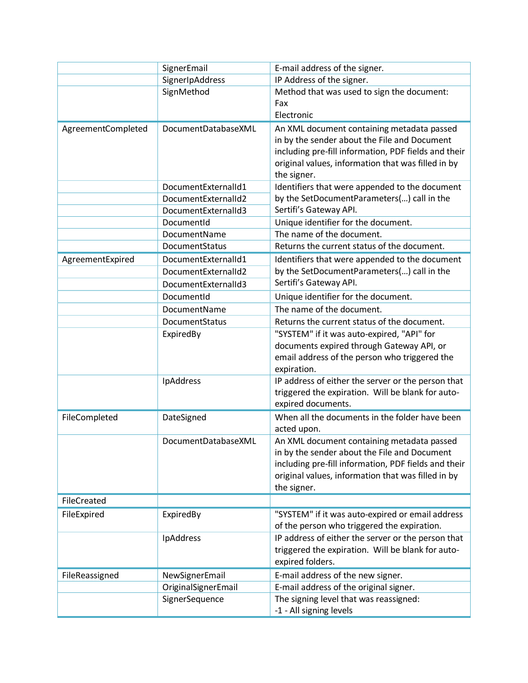|                    | SignerEmail         | E-mail address of the signer.                        |
|--------------------|---------------------|------------------------------------------------------|
|                    | SignerIpAddress     | IP Address of the signer.                            |
|                    | SignMethod          | Method that was used to sign the document:           |
|                    |                     | Fax                                                  |
|                    |                     | Electronic                                           |
| AgreementCompleted | DocumentDatabaseXML | An XML document containing metadata passed           |
|                    |                     | in by the sender about the File and Document         |
|                    |                     | including pre-fill information, PDF fields and their |
|                    |                     | original values, information that was filled in by   |
|                    |                     | the signer.                                          |
|                    | DocumentExternalId1 | Identifiers that were appended to the document       |
|                    | DocumentExternalId2 | by the SetDocumentParameters() call in the           |
|                    | DocumentExternalId3 | Sertifi's Gateway API.                               |
|                    | DocumentId          | Unique identifier for the document.                  |
|                    | DocumentName        | The name of the document.                            |
|                    | DocumentStatus      | Returns the current status of the document.          |
| AgreementExpired   | DocumentExternalId1 | Identifiers that were appended to the document       |
|                    | DocumentExternalId2 | by the SetDocumentParameters() call in the           |
|                    | DocumentExternalId3 | Sertifi's Gateway API.                               |
|                    | DocumentId          | Unique identifier for the document.                  |
|                    | DocumentName        | The name of the document.                            |
|                    | DocumentStatus      | Returns the current status of the document.          |
|                    | ExpiredBy           | "SYSTEM" if it was auto-expired, "API" for           |
|                    |                     | documents expired through Gateway API, or            |
|                    |                     | email address of the person who triggered the        |
|                    |                     | expiration.                                          |
|                    | IpAddress           | IP address of either the server or the person that   |
|                    |                     | triggered the expiration. Will be blank for auto-    |
|                    |                     | expired documents.                                   |
| FileCompleted      | DateSigned          | When all the documents in the folder have been       |
|                    |                     | acted upon.                                          |
|                    | DocumentDatabaseXML | An XML document containing metadata passed           |
|                    |                     | in by the sender about the File and Document         |
|                    |                     | including pre-fill information, PDF fields and their |
|                    |                     | original values, information that was filled in by   |
|                    |                     | the signer.                                          |
| FileCreated        |                     |                                                      |
| FileExpired        | ExpiredBy           | "SYSTEM" if it was auto-expired or email address     |
|                    |                     | of the person who triggered the expiration.          |
|                    | IpAddress           | IP address of either the server or the person that   |
|                    |                     | triggered the expiration. Will be blank for auto-    |
|                    |                     | expired folders.                                     |
| FileReassigned     | NewSignerEmail      | E-mail address of the new signer.                    |
|                    | OriginalSignerEmail | E-mail address of the original signer.               |
|                    | SignerSequence      | The signing level that was reassigned:               |
|                    |                     | -1 - All signing levels                              |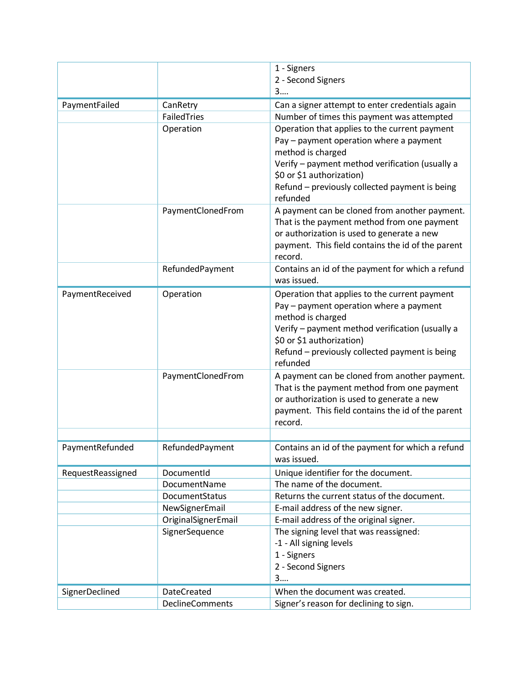|                   |                         | 1 - Signers<br>2 - Second Signers<br>3                                                                                                                                                                                                                      |
|-------------------|-------------------------|-------------------------------------------------------------------------------------------------------------------------------------------------------------------------------------------------------------------------------------------------------------|
|                   |                         | Can a signer attempt to enter credentials again                                                                                                                                                                                                             |
| PaymentFailed     | CanRetry<br>FailedTries | Number of times this payment was attempted                                                                                                                                                                                                                  |
|                   | Operation               | Operation that applies to the current payment<br>Pay - payment operation where a payment<br>method is charged<br>Verify - payment method verification (usually a<br>\$0 or \$1 authorization)                                                               |
|                   |                         | Refund - previously collected payment is being<br>refunded                                                                                                                                                                                                  |
|                   | PaymentClonedFrom       | A payment can be cloned from another payment.<br>That is the payment method from one payment<br>or authorization is used to generate a new<br>payment. This field contains the id of the parent<br>record.                                                  |
|                   | RefundedPayment         | Contains an id of the payment for which a refund<br>was issued.                                                                                                                                                                                             |
| PaymentReceived   | Operation               | Operation that applies to the current payment<br>Pay - payment operation where a payment<br>method is charged<br>Verify - payment method verification (usually a<br>\$0 or \$1 authorization)<br>Refund - previously collected payment is being<br>refunded |
|                   | PaymentClonedFrom       | A payment can be cloned from another payment.<br>That is the payment method from one payment<br>or authorization is used to generate a new<br>payment. This field contains the id of the parent<br>record.                                                  |
| PaymentRefunded   | RefundedPayment         | Contains an id of the payment for which a refund<br>was issued.                                                                                                                                                                                             |
| RequestReassigned | DocumentId              | Unique identifier for the document.                                                                                                                                                                                                                         |
|                   | DocumentName            | The name of the document.                                                                                                                                                                                                                                   |
|                   | DocumentStatus          | Returns the current status of the document.                                                                                                                                                                                                                 |
|                   | NewSignerEmail          | E-mail address of the new signer.                                                                                                                                                                                                                           |
|                   | OriginalSignerEmail     | E-mail address of the original signer.                                                                                                                                                                                                                      |
|                   | SignerSequence          | The signing level that was reassigned:<br>-1 - All signing levels<br>1 - Signers<br>2 - Second Signers<br>3                                                                                                                                                 |
| SignerDeclined    | <b>DateCreated</b>      | When the document was created.                                                                                                                                                                                                                              |
|                   | <b>DeclineComments</b>  | Signer's reason for declining to sign.                                                                                                                                                                                                                      |